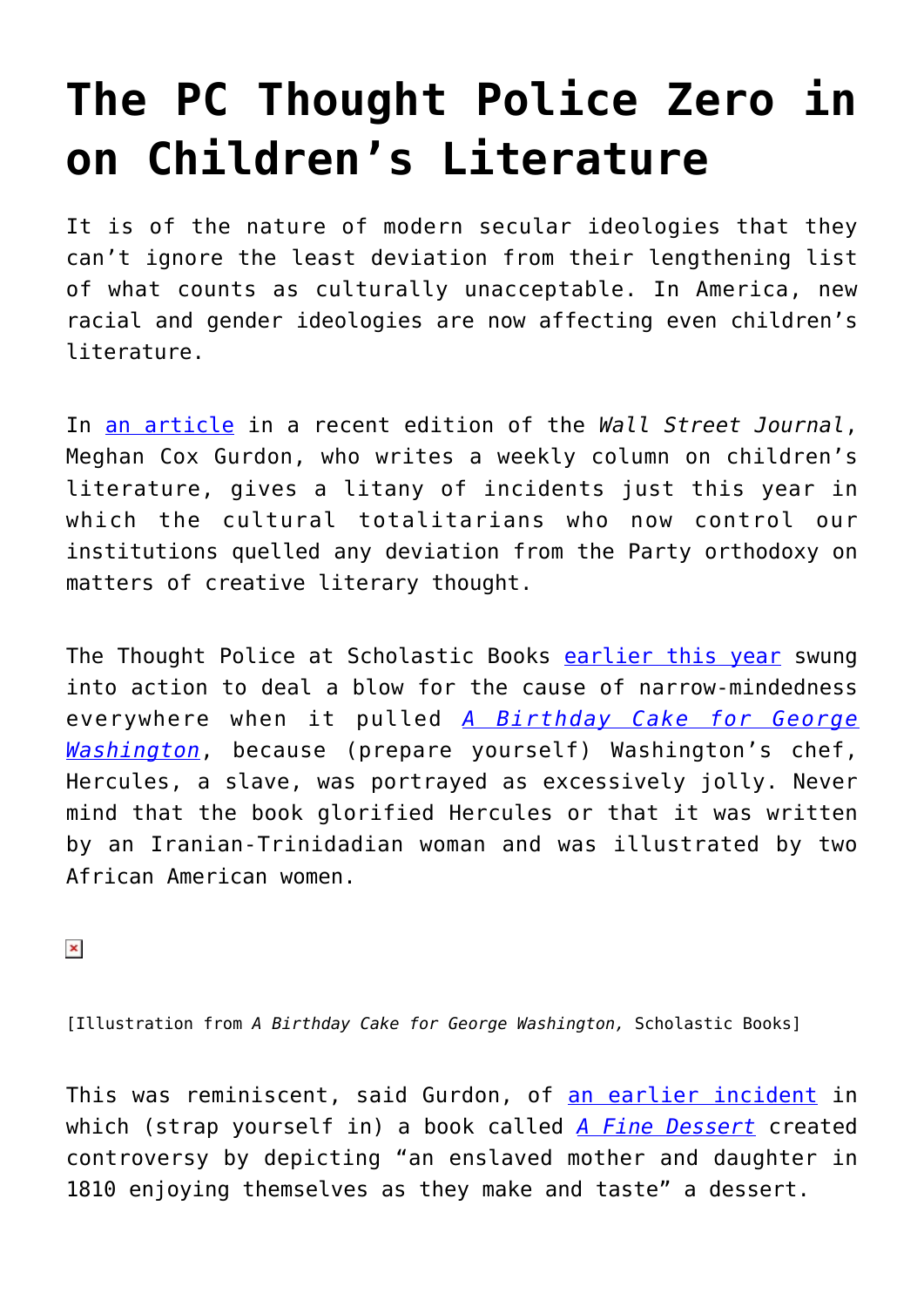## **[The PC Thought Police Zero in](https://intellectualtakeout.org/2017/01/the-pc-thought-police-zero-in-on-childrens-literature/) [on Children's Literature](https://intellectualtakeout.org/2017/01/the-pc-thought-police-zero-in-on-childrens-literature/)**

It is of the nature of modern secular ideologies that they can't ignore the least deviation from their lengthening list of what counts as culturally unacceptable. In America, new racial and gender ideologies are now affecting even children's literature.

In [an article](http://www.wsj.com/articles/juvenile-controversies-in-a-neo-jacobin-era-1483048467) in a recent edition of the *Wall Street Journal*, Meghan Cox Gurdon, who writes a weekly column on children's literature, gives a litany of incidents just this year in which the cultural totalitarians who now control our institutions quelled any deviation from the Party orthodoxy on matters of creative literary thought.

The Thought Police at Scholastic Books [earlier this year](http://www.npr.org/sections/thetwo-way/2016/01/18/463488364/amid-controversy-scholastic-pulls-picture-book-about-washingtons-slave) swung into action to deal a blow for the cause of narrow-mindedness everywhere when it pulled *[A Birthday Cake for George](https://www.amazon.com/Birthday-Cake-George-Washington/dp/0545538238/ref=as_li_ss_tl?ie=UTF8&linkCode=sl1&tag=intelltakeo0d-20&linkId=1fc24ff295bd1820eacf6681d1a0b591) [Washington](https://www.amazon.com/Birthday-Cake-George-Washington/dp/0545538238/ref=as_li_ss_tl?ie=UTF8&linkCode=sl1&tag=intelltakeo0d-20&linkId=1fc24ff295bd1820eacf6681d1a0b591)*, because (prepare yourself) Washington's chef, Hercules, a slave, was portrayed as excessively jolly. Never mind that the book glorified Hercules or that it was written by an Iranian-Trinidadian woman and was illustrated by two African American women.

 $\pmb{\times}$ 

[Illustration from *A Birthday Cake for George Washington,* Scholastic Books]

This was reminiscent, said Gurdon, of [an earlier incident](http://www.slj.com/2015/11/industry-news/emily-jenkins-apologizes-for-a-fine-dessert/#_) in which (strap yourself in) a book called *[A Fine Dessert](https://www.amazon.com/Fine-Dessert-Centuries-Families-Delicious/dp/0375868321/ref=as_li_ss_tl?s=books&ie=UTF8&qid=1483986854&sr=1-1&keywords=a+fine+dessert&linkCode=sl1&tag=intelltakeo0d-20&linkId=25b68189133daf728e265481ad74aeba)* created controversy by depicting "an enslaved mother and daughter in 1810 enjoying themselves as they make and taste" a dessert.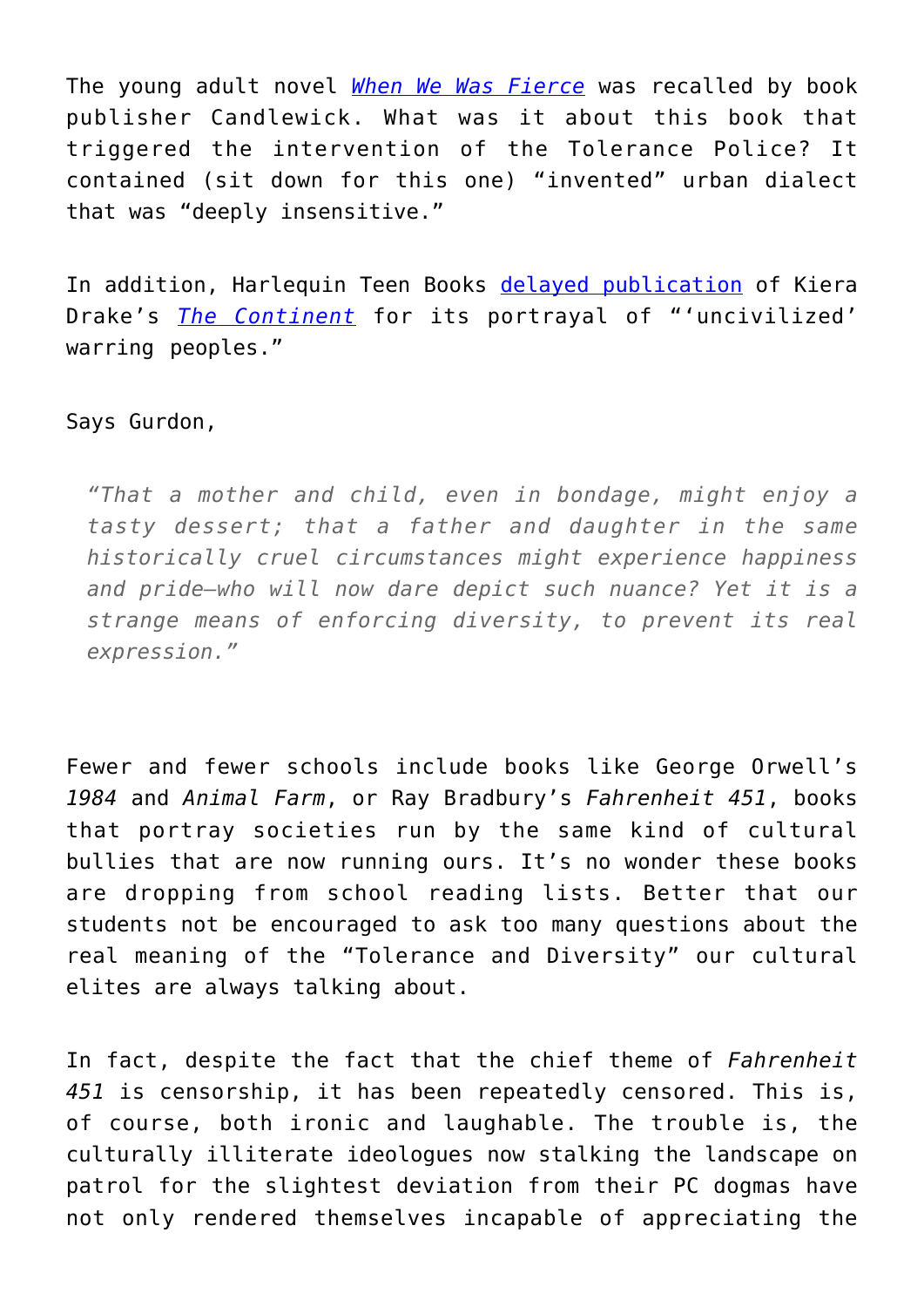The young adult novel *[When We Was Fierce](https://www.amazon.com/When-Was-Fierce-e-E-Charlton-Trujillo/dp/1520044682/ref=as_li_ss_tl?s=books&ie=UTF8&qid=1483987001&sr=1-1&keywords=when+we+was+fierce&linkCode=sl1&tag=intelltakeo0d-20&linkId=6677c6781eed54edfafc98233150dde9)* was recalled by book publisher Candlewick. What was it about this book that triggered the intervention of the Tolerance Police? It contained (sit down for this one) "invented" urban dialect that was "deeply insensitive."

In addition, Harlequin Teen Books [delayed publication](https://38caliberreviews.wordpress.com/2016/11/10/update-the-controversy-surrounding-the-continent-by-keira-drake/) of Kiera Drake's *[The Continent](https://www.amazon.com/Continent-Keira-Drake/dp/1470827018/ref=as_li_ss_tl?s=books&ie=UTF8&qid=1483987512&sr=1-1&linkCode=sl1&tag=intelltakeo0d-20&linkId=153e79f253217a9e4cb64a0c04e66bf4)* for its portrayal of "'uncivilized' warring peoples."

Says Gurdon,

*"That a mother and child, even in bondage, might enjoy a tasty dessert; that a father and daughter in the same historically cruel circumstances might experience happiness and pride—who will now dare depict such nuance? Yet it is a strange means of enforcing diversity, to prevent its real expression."*

Fewer and fewer schools include books like George Orwell's *1984* and *Animal Farm*, or Ray Bradbury's *Fahrenheit 451*, books that portray societies run by the same kind of cultural bullies that are now running ours. It's no wonder these books are dropping from school reading lists. Better that our students not be encouraged to ask too many questions about the real meaning of the "Tolerance and Diversity" our cultural elites are always talking about.

In fact, despite the fact that the chief theme of *Fahrenheit 451* is censorship, it has been repeatedly censored. This is, of course, both ironic and laughable. The trouble is, the culturally illiterate ideologues now stalking the landscape on patrol for the slightest deviation from their PC dogmas have not only rendered themselves incapable of appreciating the